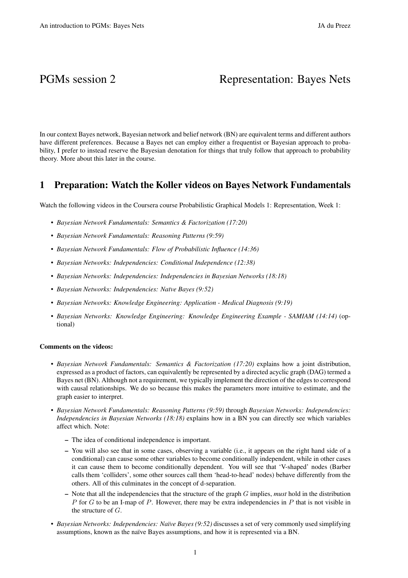# PGMs session 2 Representation: Bayes Nets

In our context Bayes network, Bayesian network and belief network (BN) are equivalent terms and different authors have different preferences. Because a Bayes net can employ either a frequentist or Bayesian approach to probability, I prefer to instead reserve the Bayesian denotation for things that truly follow that approach to probability theory. More about this later in the course.

## 1 Preparation: Watch the Koller videos on Bayes Network Fundamentals

Watch the following videos in the Coursera course Probabilistic Graphical Models 1: Representation, Week 1:

- *Bayesian Network Fundamentals: Semantics & Factorization (17:20)*
- *Bayesian Network Fundamentals: Reasoning Patterns (9:59)*
- *Bayesian Network Fundamentals: Flow of Probabilistic Influence (14:36)*
- *Bayesian Networks: Independencies: Conditional Independence (12:38)*
- *Bayesian Networks: Independencies: Independencies in Bayesian Networks (18:18)*
- *Bayesian Networks: Independencies: Na¨ıve Bayes (9:52)*
- *Bayesian Networks: Knowledge Engineering: Application Medical Diagnosis (9:19)*
- *Bayesian Networks: Knowledge Engineering: Knowledge Engineering Example SAMIAM (14:14)* (optional)

#### Comments on the videos:

- *Bayesian Network Fundamentals: Semantics & Factorization (17:20)* explains how a joint distribution, expressed as a product of factors, can equivalently be represented by a directed acyclic graph (DAG) termed a Bayes net (BN). Although not a requirement, we typically implement the direction of the edges to correspond with causal relationships. We do so because this makes the parameters more intuitive to estimate, and the graph easier to interpret.
- *Bayesian Network Fundamentals: Reasoning Patterns (9:59)* through *Bayesian Networks: Independencies: Independencies in Bayesian Networks (18:18)* explains how in a BN you can directly see which variables affect which. Note:
	- The idea of conditional independence is important.
	- You will also see that in some cases, observing a variable (i.e., it appears on the right hand side of a conditional) can cause some other variables to become conditionally independent, while in other cases it can cause them to become conditionally dependent. You will see that 'V-shaped' nodes (Barber calls them 'colliders', some other sources call them 'head-to-head' nodes) behave differently from the others. All of this culminates in the concept of d-separation.
	- Note that all the independencies that the structure of the graph G implies, *must* hold in the distribution P for G to be an I-map of P. However, there may be extra independencies in P that is not visible in the structure of G.
- *Bayesian Networks: Independencies: Na¨ıve Bayes (9:52)* discusses a set of very commonly used simplifying assumptions, known as the na¨ıve Bayes assumptions, and how it is represented via a BN.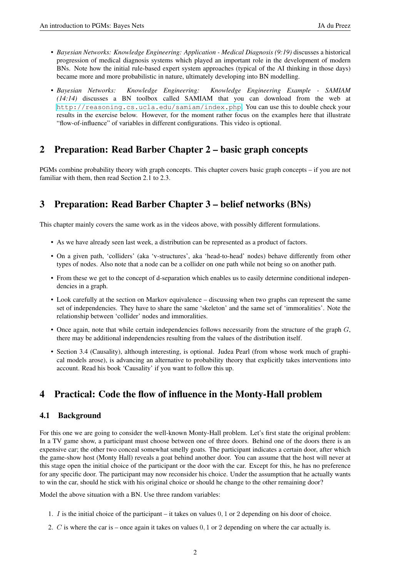- *Bayesian Networks: Knowledge Engineering: Application Medical Diagnosis (9:19)* discusses a historical progression of medical diagnosis systems which played an important role in the development of modern BNs. Note how the initial rule-based expert system approaches (typical of the AI thinking in those days) became more and more probabilistic in nature, ultimately developing into BN modelling.
- *Bayesian Networks: Knowledge Engineering: Knowledge Engineering Example SAMIAM (14:14)* discusses a BN toolbox called SAMIAM that you can download from the web at <http://reasoning.cs.ucla.edu/samiam/index.php>. You can use this to double check your results in the exercise below. However, for the moment rather focus on the examples here that illustrate "flow-of-influence" of variables in different configurations. This video is optional.

## 2 Preparation: Read Barber Chapter 2 – basic graph concepts

PGMs combine probability theory with graph concepts. This chapter covers basic graph concepts – if you are not familiar with them, then read Section 2.1 to 2.3.

## 3 Preparation: Read Barber Chapter 3 – belief networks (BNs)

This chapter mainly covers the same work as in the videos above, with possibly different formulations.

- As we have already seen last week, a distribution can be represented as a product of factors.
- On a given path, 'colliders' (aka 'v-structures', aka 'head-to-head' nodes) behave differently from other types of nodes. Also note that a node can be a collider on one path while not being so on another path.
- From these we get to the concept of d-separation which enables us to easily determine conditional independencies in a graph.
- Look carefully at the section on Markov equivalence discussing when two graphs can represent the same set of independencies. They have to share the same 'skeleton' and the same set of 'immoralities'. Note the relationship between 'collider' nodes and immoralities.
- Once again, note that while certain independencies follows necessarily from the structure of the graph  $G$ , there may be additional independencies resulting from the values of the distribution itself.
- Section 3.4 (Causality), although interesting, is optional. Judea Pearl (from whose work much of graphical models arose), is advancing an alternative to probability theory that explicitly takes interventions into account. Read his book 'Causality' if you want to follow this up.

## 4 Practical: Code the flow of influence in the Monty-Hall problem

## 4.1 Background

For this one we are going to consider the well-known Monty-Hall problem. Let's first state the original problem: In a TV game show, a participant must choose between one of three doors. Behind one of the doors there is an expensive car; the other two conceal somewhat smelly goats. The participant indicates a certain door, after which the game-show host (Monty Hall) reveals a goat behind another door. You can assume that the host will never at this stage open the initial choice of the participant or the door with the car. Except for this, he has no preference for any specific door. The participant may now reconsider his choice. Under the assumption that he actually wants to win the car, should he stick with his original choice or should he change to the other remaining door?

Model the above situation with a BN. Use three random variables:

- 1. I is the initial choice of the participant it takes on values 0, 1 or 2 depending on his door of choice.
- 2. C is where the car is once again it takes on values 0, 1 or 2 depending on where the car actually is.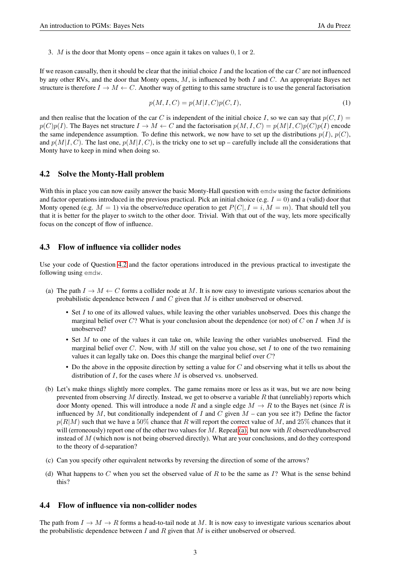3. M is the door that Monty opens – once again it takes on values 0, 1 or 2.

If we reason causally, then it should be clear that the initial choice I and the location of the car  $C$  are not influenced by any other RVs, and the door that Monty opens,  $M$ , is influenced by both  $I$  and  $C$ . An appropriate Bayes net structure is therefore  $I \to M \leftarrow C$ . Another way of getting to this same structure is to use the general factorisation

$$
p(M, I, C) = p(M|I, C)p(C, I),
$$
\n<sup>(1)</sup>

and then realise that the location of the car C is independent of the initial choice I, so we can say that  $p(C, I)$  $p(C)p(I)$ . The Bayes net structure  $I \to M \leftarrow C$  and the factorisation  $p(M, I, C) = p(M|I, C)p(C)p(I)$  encode the same independence assumption. To define this network, we now have to set up the distributions  $p(I)$ ,  $p(C)$ , and  $p(M|I, C)$ . The last one,  $p(M|I, C)$ , is the tricky one to set up – carefully include all the considerations that Monty have to keep in mind when doing so.

#### <span id="page-2-0"></span>4.2 Solve the Monty-Hall problem

With this in place you can now easily answer the basic Monty-Hall question with emdw using the factor definitions and factor operations introduced in the previous practical. Pick an initial choice (e.g.  $I = 0$ ) and a (valid) door that Monty opened (e.g.  $M = 1$ ) via the observe/reduce operation to get  $P(C|, I = i, M = m)$ . That should tell you that it is better for the player to switch to the other door. Trivial. With that out of the way, lets more specifically focus on the concept of flow of influence.

#### 4.3 Flow of influence via collider nodes

Use your code of Question [4.2](#page-2-0) and the factor operations introduced in the previous practical to investigate the following using emdw.

- <span id="page-2-1"></span>(a) The path  $I \to M \leftarrow C$  forms a collider node at M. It is now easy to investigate various scenarios about the probabilistic dependence between  $I$  and  $C$  given that  $M$  is either unobserved or observed.
	- Set I to one of its allowed values, while leaving the other variables unobserved. Does this change the marginal belief over  $C$ ? What is your conclusion about the dependence (or not) of C on I when M is unobserved?
	- Set M to one of the values it can take on, while leaving the other variables unobserved. Find the marginal belief over C. Now, with M still on the value you chose, set I to one of the two remaining values it can legally take on. Does this change the marginal belief over C?
	- Do the above in the opposite direction by setting a value for  $C$  and observing what it tells us about the distribution of  $I$ , for the cases where  $M$  is observed vs. unobserved.
- (b) Let's make things slightly more complex. The game remains more or less as it was, but we are now being prevented from observing M directly. Instead, we get to observe a variable R that (unreliably) reports which door Monty opened. This will introduce a node R and a single edge  $M \to R$  to the Bayes net (since R is influenced by M, but conditionally independent of I and C given  $M$  – can you see it?) Define the factor  $p(R|M)$  such that we have a 50% chance that R will report the correct value of M, and 25% chances that it will (erroneously) report one of the other two values for  $M$ . Repeat [\(a\),](#page-2-1) but now with  $R$  observed/unobserved instead of M (which now is not being observed directly). What are your conclusions, and do they correspond to the theory of d-separation?
- (c) Can you specify other equivalent networks by reversing the direction of some of the arrows?
- (d) What happens to C when you set the observed value of R to be the same as  $I$ ? What is the sense behind this?

### 4.4 Flow of influence via non-collider nodes

The path from  $I \to M \to R$  forms a head-to-tail node at M. It is now easy to investigate various scenarios about the probabilistic dependence between I and R given that  $M$  is either unobserved or observed.